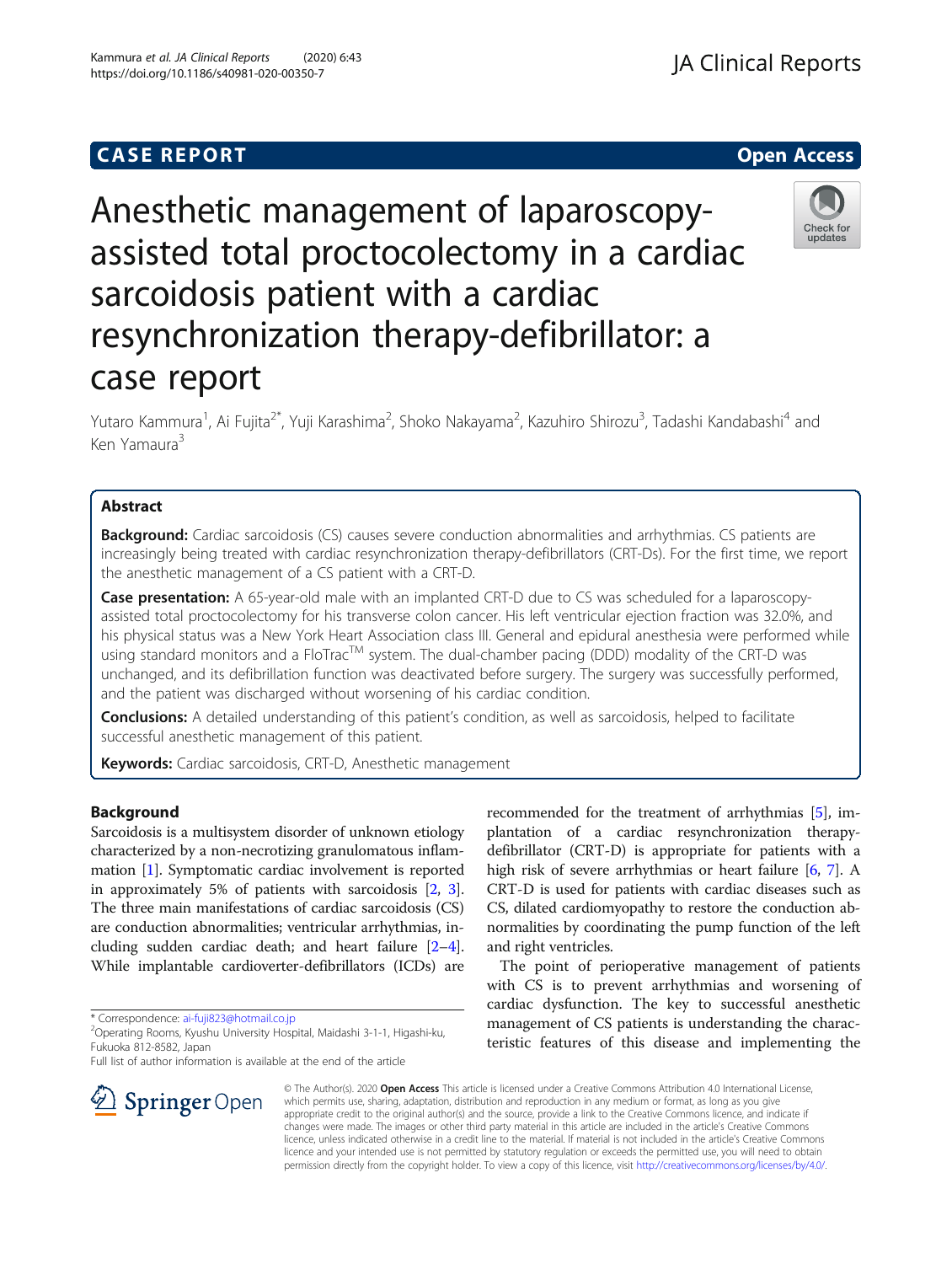## **CASE REPORT CASE REPORT** And the contract of the contract of the contract of the contract of the contract of the contract of the contract of the contract of the contract of the contract of the contract of the contract of

# Anesthetic management of laparoscopyassisted total proctocolectomy in a cardiac sarcoidosis patient with a cardiac resynchronization therapy-defibrillator: a case report

Yutaro Kammura<sup>1</sup>, Ai Fujita<sup>2\*</sup>, Yuji Karashima<sup>2</sup>, Shoko Nakayama<sup>2</sup>, Kazuhiro Shirozu<sup>3</sup>, Tadashi Kandabashi<sup>4</sup> and Ken Yamaura<sup>3</sup>

## Abstract

Background: Cardiac sarcoidosis (CS) causes severe conduction abnormalities and arrhythmias. CS patients are increasingly being treated with cardiac resynchronization therapy-defibrillators (CRT-Ds). For the first time, we report the anesthetic management of a CS patient with a CRT-D.

Case presentation: A 65-year-old male with an implanted CRT-D due to CS was scheduled for a laparoscopyassisted total proctocolectomy for his transverse colon cancer. His left ventricular ejection fraction was 32.0%, and his physical status was a New York Heart Association class III. General and epidural anesthesia were performed while using standard monitors and a FloTrac™ system. The dual-chamber pacing (DDD) modality of the CRT-D was unchanged, and its defibrillation function was deactivated before surgery. The surgery was successfully performed, and the patient was discharged without worsening of his cardiac condition.

Conclusions: A detailed understanding of this patient's condition, as well as sarcoidosis, helped to facilitate successful anesthetic management of this patient.

Keywords: Cardiac sarcoidosis, CRT-D, Anesthetic management

### Background

Sarcoidosis is a multisystem disorder of unknown etiology characterized by a non-necrotizing granulomatous inflammation [[1](#page-4-0)]. Symptomatic cardiac involvement is reported in approximately 5% of patients with sarcoidosis [\[2,](#page-4-0) [3](#page-4-0)]. The three main manifestations of cardiac sarcoidosis (CS) are conduction abnormalities; ventricular arrhythmias, including sudden cardiac death; and heart failure [[2](#page-4-0)–[4](#page-4-0)]. While implantable cardioverter-defibrillators (ICDs) are

\* Correspondence: [ai-fuji823@hotmail.co.jp](mailto:ai-fuji823@hotmail.co.jp) <sup>2</sup>

SpringerOpen

Full list of author information is available at the end of the article

recommended for the treatment of arrhythmias [\[5\]](#page-4-0), implantation of a cardiac resynchronization therapydefibrillator (CRT-D) is appropriate for patients with a high risk of severe arrhythmias or heart failure [[6,](#page-4-0) [7](#page-4-0)]. A CRT-D is used for patients with cardiac diseases such as CS, dilated cardiomyopathy to restore the conduction abnormalities by coordinating the pump function of the left and right ventricles.

The point of perioperative management of patients with CS is to prevent arrhythmias and worsening of cardiac dysfunction. The key to successful anesthetic management of CS patients is understanding the characteristic features of this disease and implementing the

© The Author(s). 2020 Open Access This article is licensed under a Creative Commons Attribution 4.0 International License, which permits use, sharing, adaptation, distribution and reproduction in any medium or format, as long as you give appropriate credit to the original author(s) and the source, provide a link to the Creative Commons licence, and indicate if changes were made. The images or other third party material in this article are included in the article's Creative Commons licence, unless indicated otherwise in a credit line to the material. If material is not included in the article's Creative Commons licence and your intended use is not permitted by statutory regulation or exceeds the permitted use, you will need to obtain permission directly from the copyright holder. To view a copy of this licence, visit <http://creativecommons.org/licenses/by/4.0/>.









Operating Rooms, Kyushu University Hospital, Maidashi 3-1-1, Higashi-ku, Fukuoka 812-8582, Japan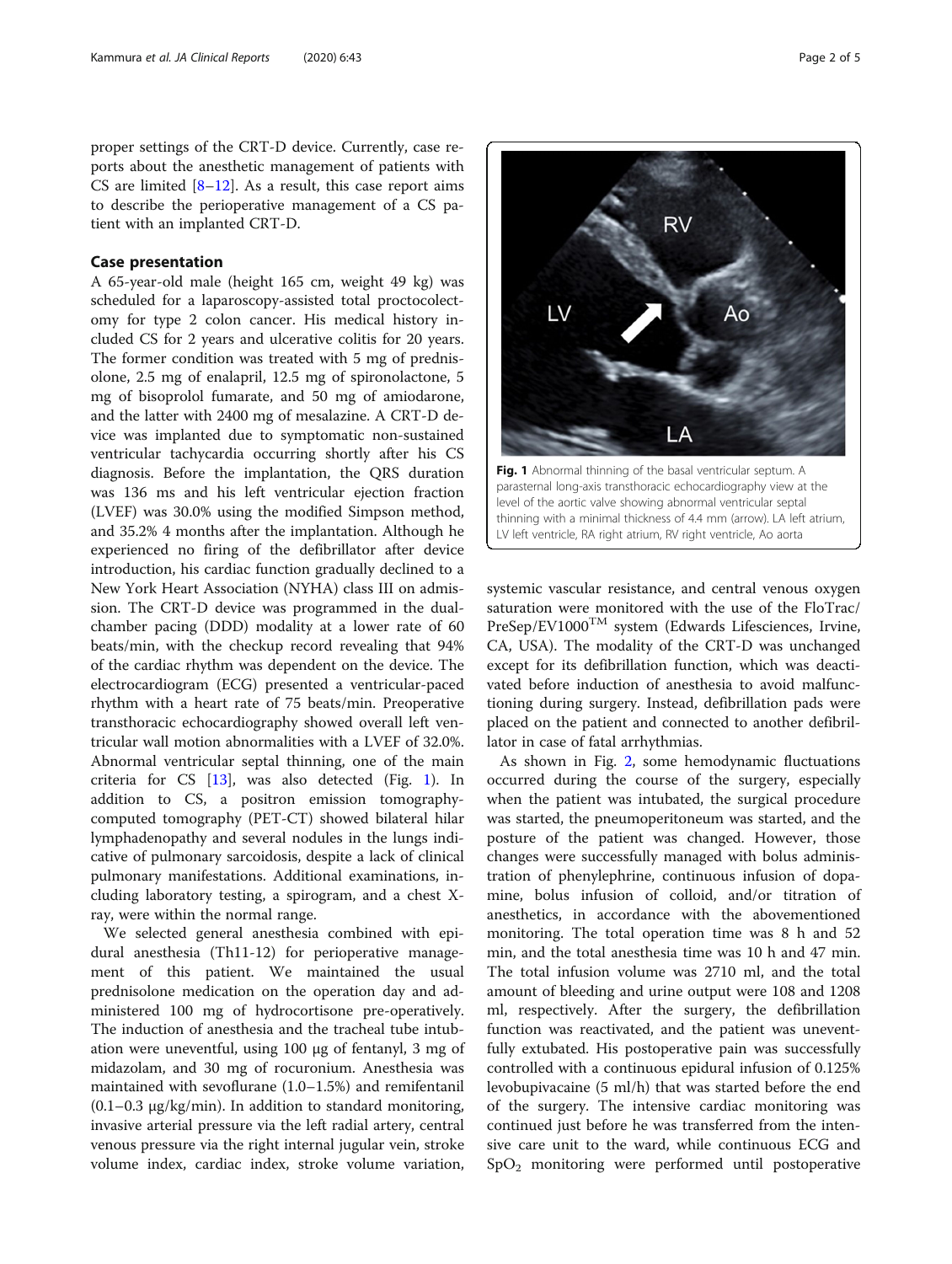proper settings of the CRT-D device. Currently, case reports about the anesthetic management of patients with CS are limited  $[8-12]$  $[8-12]$  $[8-12]$ . As a result, this case report aims to describe the perioperative management of a CS patient with an implanted CRT-D.

## Case presentation

A 65-year-old male (height 165 cm, weight 49 kg) was scheduled for a laparoscopy-assisted total proctocolectomy for type 2 colon cancer. His medical history included CS for 2 years and ulcerative colitis for 20 years. The former condition was treated with 5 mg of prednisolone, 2.5 mg of enalapril, 12.5 mg of spironolactone, 5 mg of bisoprolol fumarate, and 50 mg of amiodarone, and the latter with 2400 mg of mesalazine. A CRT-D device was implanted due to symptomatic non-sustained ventricular tachycardia occurring shortly after his CS diagnosis. Before the implantation, the QRS duration was 136 ms and his left ventricular ejection fraction (LVEF) was 30.0% using the modified Simpson method, and 35.2% 4 months after the implantation. Although he experienced no firing of the defibrillator after device introduction, his cardiac function gradually declined to a New York Heart Association (NYHA) class III on admission. The CRT-D device was programmed in the dualchamber pacing (DDD) modality at a lower rate of 60 beats/min, with the checkup record revealing that 94% of the cardiac rhythm was dependent on the device. The electrocardiogram (ECG) presented a ventricular-paced rhythm with a heart rate of 75 beats/min. Preoperative transthoracic echocardiography showed overall left ventricular wall motion abnormalities with a LVEF of 32.0%. Abnormal ventricular septal thinning, one of the main criteria for CS [[13](#page-4-0)], was also detected (Fig. 1). In addition to CS, a positron emission tomographycomputed tomography (PET-CT) showed bilateral hilar lymphadenopathy and several nodules in the lungs indicative of pulmonary sarcoidosis, despite a lack of clinical pulmonary manifestations. Additional examinations, including laboratory testing, a spirogram, and a chest Xray, were within the normal range.

We selected general anesthesia combined with epidural anesthesia (Th11-12) for perioperative management of this patient. We maintained the usual prednisolone medication on the operation day and administered 100 mg of hydrocortisone pre-operatively. The induction of anesthesia and the tracheal tube intubation were uneventful, using 100 μg of fentanyl, 3 mg of midazolam, and 30 mg of rocuronium. Anesthesia was maintained with sevoflurane (1.0–1.5%) and remifentanil (0.1–0.3 μg/kg/min). In addition to standard monitoring, invasive arterial pressure via the left radial artery, central venous pressure via the right internal jugular vein, stroke volume index, cardiac index, stroke volume variation,



systemic vascular resistance, and central venous oxygen saturation were monitored with the use of the FloTrac/ PreSep/EV1000TM system (Edwards Lifesciences, Irvine, CA, USA). The modality of the CRT-D was unchanged except for its defibrillation function, which was deactivated before induction of anesthesia to avoid malfunctioning during surgery. Instead, defibrillation pads were placed on the patient and connected to another defibrillator in case of fatal arrhythmias.

As shown in Fig. [2,](#page-2-0) some hemodynamic fluctuations occurred during the course of the surgery, especially when the patient was intubated, the surgical procedure was started, the pneumoperitoneum was started, and the posture of the patient was changed. However, those changes were successfully managed with bolus administration of phenylephrine, continuous infusion of dopamine, bolus infusion of colloid, and/or titration of anesthetics, in accordance with the abovementioned monitoring. The total operation time was 8 h and 52 min, and the total anesthesia time was 10 h and 47 min. The total infusion volume was 2710 ml, and the total amount of bleeding and urine output were 108 and 1208 ml, respectively. After the surgery, the defibrillation function was reactivated, and the patient was uneventfully extubated. His postoperative pain was successfully controlled with a continuous epidural infusion of 0.125% levobupivacaine (5 ml/h) that was started before the end of the surgery. The intensive cardiac monitoring was continued just before he was transferred from the intensive care unit to the ward, while continuous ECG and  $SpO<sub>2</sub>$  monitoring were performed until postoperative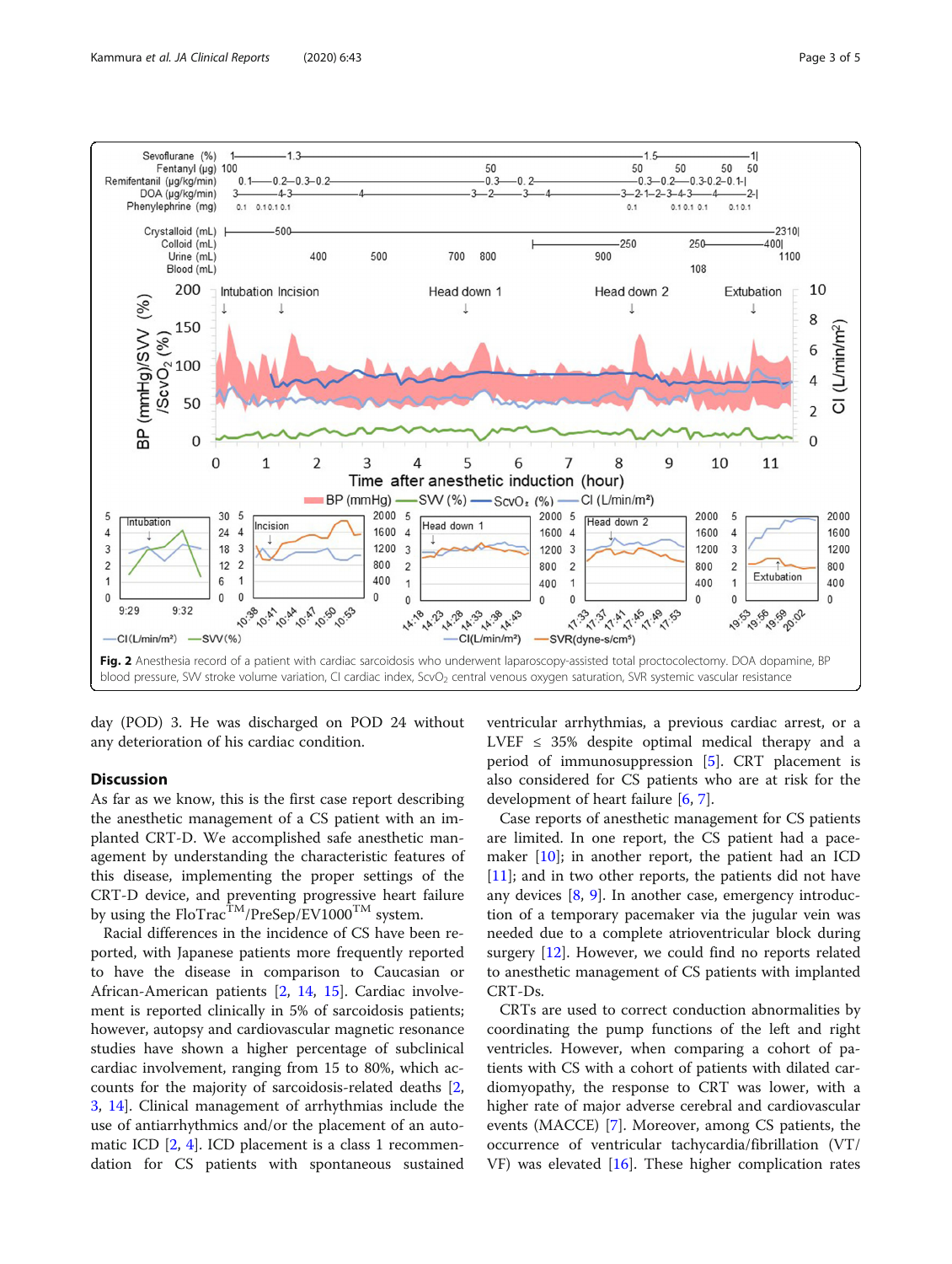<span id="page-2-0"></span>

day (POD) 3. He was discharged on POD 24 without any deterioration of his cardiac condition.

## **Discussion**

As far as we know, this is the first case report describing the anesthetic management of a CS patient with an implanted CRT-D. We accomplished safe anesthetic management by understanding the characteristic features of this disease, implementing the proper settings of the CRT-D device, and preventing progressive heart failure by using the FloTrac<sup>TM</sup>/PreSep/EV1000<sup>TM</sup> system.

Racial differences in the incidence of CS have been reported, with Japanese patients more frequently reported to have the disease in comparison to Caucasian or African-American patients [[2,](#page-4-0) [14,](#page-4-0) [15](#page-4-0)]. Cardiac involvement is reported clinically in 5% of sarcoidosis patients; however, autopsy and cardiovascular magnetic resonance studies have shown a higher percentage of subclinical cardiac involvement, ranging from 15 to 80%, which accounts for the majority of sarcoidosis-related deaths [\[2](#page-4-0), [3,](#page-4-0) [14\]](#page-4-0). Clinical management of arrhythmias include the use of antiarrhythmics and/or the placement of an automatic ICD  $[2, 4]$  $[2, 4]$  $[2, 4]$  $[2, 4]$ . ICD placement is a class 1 recommendation for CS patients with spontaneous sustained

ventricular arrhythmias, a previous cardiac arrest, or a LVEF  $\leq$  35% despite optimal medical therapy and a period of immunosuppression [[5\]](#page-4-0). CRT placement is also considered for CS patients who are at risk for the development of heart failure [[6,](#page-4-0) [7\]](#page-4-0).

Case reports of anesthetic management for CS patients are limited. In one report, the CS patient had a pacemaker [[10\]](#page-4-0); in another report, the patient had an ICD [[11\]](#page-4-0); and in two other reports, the patients did not have any devices  $[8, 9]$  $[8, 9]$  $[8, 9]$ . In another case, emergency introduction of a temporary pacemaker via the jugular vein was needed due to a complete atrioventricular block during surgery [[12](#page-4-0)]. However, we could find no reports related to anesthetic management of CS patients with implanted CRT-Ds.

CRTs are used to correct conduction abnormalities by coordinating the pump functions of the left and right ventricles. However, when comparing a cohort of patients with CS with a cohort of patients with dilated cardiomyopathy, the response to CRT was lower, with a higher rate of major adverse cerebral and cardiovascular events (MACCE) [[7\]](#page-4-0). Moreover, among CS patients, the occurrence of ventricular tachycardia/fibrillation (VT/ VF) was elevated [[16](#page-4-0)]. These higher complication rates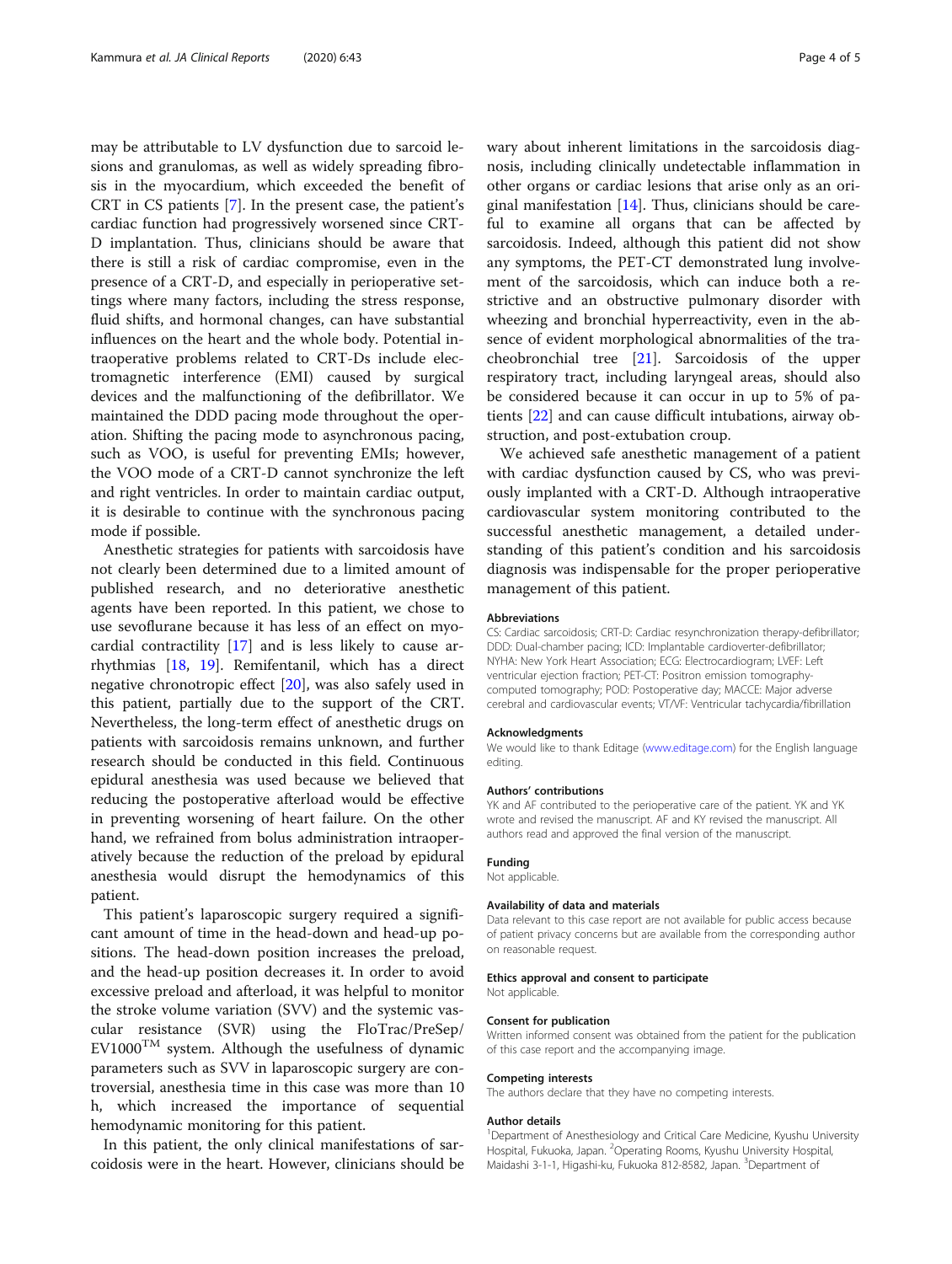may be attributable to LV dysfunction due to sarcoid lesions and granulomas, as well as widely spreading fibrosis in the myocardium, which exceeded the benefit of CRT in CS patients [[7](#page-4-0)]. In the present case, the patient's cardiac function had progressively worsened since CRT-D implantation. Thus, clinicians should be aware that there is still a risk of cardiac compromise, even in the presence of a CRT-D, and especially in perioperative settings where many factors, including the stress response, fluid shifts, and hormonal changes, can have substantial influences on the heart and the whole body. Potential intraoperative problems related to CRT-Ds include electromagnetic interference (EMI) caused by surgical devices and the malfunctioning of the defibrillator. We maintained the DDD pacing mode throughout the operation. Shifting the pacing mode to asynchronous pacing, such as VOO, is useful for preventing EMIs; however, the VOO mode of a CRT-D cannot synchronize the left and right ventricles. In order to maintain cardiac output, it is desirable to continue with the synchronous pacing mode if possible.

Anesthetic strategies for patients with sarcoidosis have not clearly been determined due to a limited amount of published research, and no deteriorative anesthetic agents have been reported. In this patient, we chose to use sevoflurane because it has less of an effect on myocardial contractility [\[17](#page-4-0)] and is less likely to cause arrhythmias [[18,](#page-4-0) [19\]](#page-4-0). Remifentanil, which has a direct negative chronotropic effect [[20\]](#page-4-0), was also safely used in this patient, partially due to the support of the CRT. Nevertheless, the long-term effect of anesthetic drugs on patients with sarcoidosis remains unknown, and further research should be conducted in this field. Continuous epidural anesthesia was used because we believed that reducing the postoperative afterload would be effective in preventing worsening of heart failure. On the other hand, we refrained from bolus administration intraoperatively because the reduction of the preload by epidural anesthesia would disrupt the hemodynamics of this patient.

This patient's laparoscopic surgery required a significant amount of time in the head-down and head-up positions. The head-down position increases the preload, and the head-up position decreases it. In order to avoid excessive preload and afterload, it was helpful to monitor the stroke volume variation (SVV) and the systemic vascular resistance (SVR) using the FloTrac/PreSep/  $EV1000^{TM}$  system. Although the usefulness of dynamic parameters such as SVV in laparoscopic surgery are controversial, anesthesia time in this case was more than 10 h, which increased the importance of sequential hemodynamic monitoring for this patient.

In this patient, the only clinical manifestations of sarcoidosis were in the heart. However, clinicians should be wary about inherent limitations in the sarcoidosis diagnosis, including clinically undetectable inflammation in other organs or cardiac lesions that arise only as an original manifestation  $[14]$  $[14]$ . Thus, clinicians should be careful to examine all organs that can be affected by sarcoidosis. Indeed, although this patient did not show any symptoms, the PET-CT demonstrated lung involvement of the sarcoidosis, which can induce both a restrictive and an obstructive pulmonary disorder with wheezing and bronchial hyperreactivity, even in the absence of evident morphological abnormalities of the tracheobronchial tree [[21](#page-4-0)]. Sarcoidosis of the upper respiratory tract, including laryngeal areas, should also be considered because it can occur in up to 5% of patients [\[22](#page-4-0)] and can cause difficult intubations, airway obstruction, and post-extubation croup.

We achieved safe anesthetic management of a patient with cardiac dysfunction caused by CS, who was previously implanted with a CRT-D. Although intraoperative cardiovascular system monitoring contributed to the successful anesthetic management, a detailed understanding of this patient's condition and his sarcoidosis diagnosis was indispensable for the proper perioperative management of this patient.

#### Abbreviations

CS: Cardiac sarcoidosis; CRT-D: Cardiac resynchronization therapy-defibrillator; DDD: Dual-chamber pacing; ICD: Implantable cardioverter-defibrillator; NYHA: New York Heart Association; ECG: Electrocardiogram; LVEF: Left ventricular ejection fraction; PET-CT: Positron emission tomographycomputed tomography; POD: Postoperative day; MACCE: Major adverse cerebral and cardiovascular events; VT/VF: Ventricular tachycardia/fibrillation

#### Acknowledgments

We would like to thank Editage [\(www.editage.com\)](http://www.editage.com) for the English language editing.

#### Authors' contributions

YK and AF contributed to the perioperative care of the patient. YK and YK wrote and revised the manuscript. AF and KY revised the manuscript. All authors read and approved the final version of the manuscript.

#### Funding

Not applicable.

#### Availability of data and materials

Data relevant to this case report are not available for public access because of patient privacy concerns but are available from the corresponding author on reasonable request.

#### Ethics approval and consent to participate

Not applicable.

#### Consent for publication

Written informed consent was obtained from the patient for the publication of this case report and the accompanying image.

#### Competing interests

The authors declare that they have no competing interests.

#### Author details

<sup>1</sup>Department of Anesthesiology and Critical Care Medicine, Kyushu University Hospital, Fukuoka, Japan. <sup>2</sup>Operating Rooms, Kyushu University Hospital Maidashi 3-1-1, Higashi-ku, Fukuoka 812-8582, Japan. <sup>3</sup>Department of